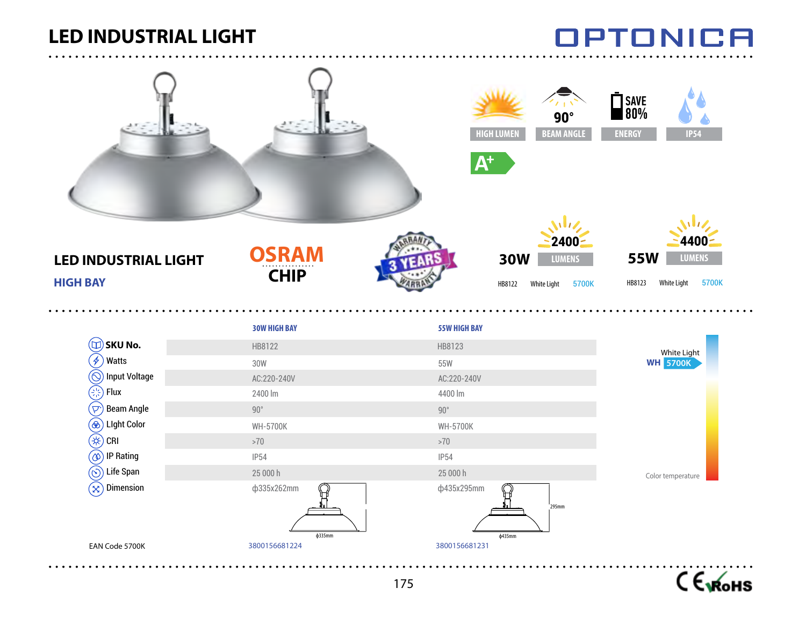### **LED INDUSTRIAL LIGHT**

. . . . . . . . . . .

## **OPTONICA**

 $\sim$   $\sim$   $\sim$   $\sim$ 

|                                                         |                             | SAVE<br>80%<br>$90^\circ$<br><b>BEAM ANGLE</b><br><b>HIGH LUMEN</b><br><b>ENERGY</b><br>$A^+$ | <b>IP54</b>                                                           |
|---------------------------------------------------------|-----------------------------|-----------------------------------------------------------------------------------------------|-----------------------------------------------------------------------|
| <b>LED INDUSTRIAL LIGHT</b><br><b>HIGH BAY</b>          | <b>OSRAM</b><br><b>CHIP</b> | 2400<br><b>30W</b><br><b>LUMENS</b><br>White Light<br>5700K<br>HB8122                         | 4400<br><b>55W</b><br><b>LUMENS</b><br>5700K<br>HB8123<br>White Light |
|                                                         | <b>30W HIGH BAY</b>         | <b>55W HIGH BAY</b>                                                                           |                                                                       |
| $(\Box)$ SKU No.                                        | HB8122                      | HB8123                                                                                        | <b>White Light</b>                                                    |
| $(\mathscr{G})$ Watts                                   | 30W                         | 55W                                                                                           | <b>WH 5700K</b>                                                       |
| $\circledS$ Input Voltage                               | AC:220-240V                 | AC:220-240V                                                                                   |                                                                       |
| $\left(\frac{1}{2}, \frac{1}{2}\right)$ Flux            | 2400 lm                     | 4400 lm                                                                                       |                                                                       |
| $\left(\overline{\mathsf{p}^{\cdot}}\right)$ Beam Angle | $90^{\circ}$                | $90^{\circ}$                                                                                  |                                                                       |
| <b>(®)</b> Light Color<br>$\circledast$ CRI             | <b>WH-5700K</b><br>$>70$    | <b>WH-5700K</b><br>$>70$                                                                      |                                                                       |
| $\circledcirc$ ) IP Rating                              | <b>IP54</b>                 | <b>IP54</b>                                                                                   |                                                                       |
| $\circledS$ Life Span                                   | 25 000 h                    | 25 000 h                                                                                      |                                                                       |
| $\left( \widehat{\otimes}\right)$ Dimension             | ф335x262mm<br>$\phi$ 335mm  | ф435x295mm<br>295mm<br>φ435mm                                                                 | Color temperature                                                     |
| EAN Code 5700K                                          | 3800156681224               | 3800156681231                                                                                 |                                                                       |

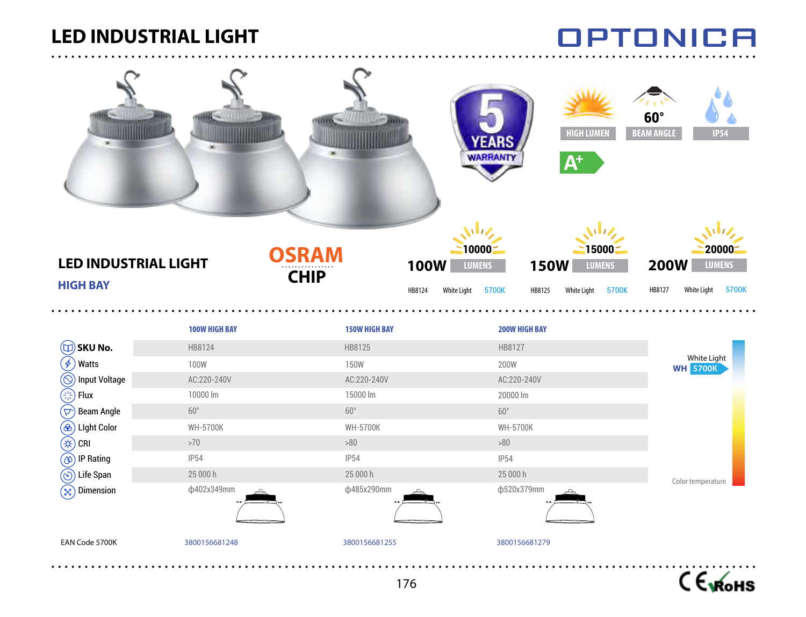### **LED INDUSTRIAL LIGHT**

. . . . . . . . . . . .

# **OPTONICA**

| <b>LED INDUSTRIAL LIGHT</b><br><b>HIGH BAY</b> | title -                | $1000 -$<br><b>OSRAM</b><br><b>100W</b><br><b>CHIP</b><br>HB8124 | <b>HIGH LUMEN</b><br><b>EARS</b><br><b>WARRANTY</b><br>$A^+$<br>$10000 -$<br>15000<br><b>150W</b><br><b>LUMENS</b><br><b>LUMENS</b><br><b>White Light</b><br>5700K<br>HB8125<br><b>White Light</b><br>5700K | $60^\circ$<br><b>BEAM ANGLE</b><br><b>IP54</b><br>20000<br><b>200W</b><br><b>LUMENS</b><br>HB8127<br>White Light<br>5700K |
|------------------------------------------------|------------------------|------------------------------------------------------------------|-------------------------------------------------------------------------------------------------------------------------------------------------------------------------------------------------------------|---------------------------------------------------------------------------------------------------------------------------|
|                                                |                        |                                                                  |                                                                                                                                                                                                             |                                                                                                                           |
|                                                | 100W HIGH BAY          | <b>150W HIGH BAY</b>                                             | <b>200W HIGH BAY</b>                                                                                                                                                                                        |                                                                                                                           |
| $(\mathbb{U})$ SKU No.                         | HB8124                 | HB8125                                                           | HB8127                                                                                                                                                                                                      | White Light                                                                                                               |
| $\left(\cancel{t}\right)$<br>Watts             | <b>100W</b>            | <b>150W</b>                                                      | 200W                                                                                                                                                                                                        | <b>WH 5700K</b>                                                                                                           |
| $\circledcirc$<br>Input Voltage                | AC:220-240V            | AC:220-240V                                                      | AC:220-240V                                                                                                                                                                                                 |                                                                                                                           |
| ٦<br>Flux                                      | 10000 lm               | 15000 lm                                                         | 20000 lm                                                                                                                                                                                                    |                                                                                                                           |
| $(\triangleright)$<br><b>Beam Angle</b>        | $60^{\circ}$           | $60^{\circ}$                                                     | $60^{\circ}$                                                                                                                                                                                                |                                                                                                                           |
| $^{\circledR}$<br><b>Light Color</b>           | <b>WH-5700K</b>        | <b>WH-5700K</b>                                                  | <b>WH-5700K</b>                                                                                                                                                                                             |                                                                                                                           |
| (#)<br>CRI                                     | ${>}70$                | $>\!\!80$                                                        | $>\!\!80$                                                                                                                                                                                                   |                                                                                                                           |
| $^\copyright$<br><b>IP Rating</b>              | <b>IP54</b>            | <b>IP54</b><br>25 000 h                                          | <b>IP54</b>                                                                                                                                                                                                 |                                                                                                                           |
| Life Span<br>$\circledcirc$<br>Dimension       | 25 000 h<br>ф402х349mm | ф485x290mm                                                       | 25 000 h<br>ф520x379mm                                                                                                                                                                                      | Color temperature                                                                                                         |
| $(\mathsf{x})$                                 |                        |                                                                  |                                                                                                                                                                                                             |                                                                                                                           |
| EAN Code 5700K                                 | 3800156681248          | 3800156681255                                                    | 3800156681279                                                                                                                                                                                               |                                                                                                                           |